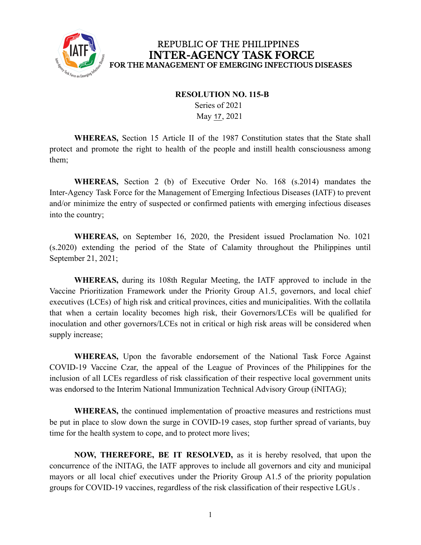

## REPUBLIC OF THE PHILIPPINES **INTER-AGENCY TASK FORCE** FOR THE MANAGEMENT OF EMERGING INFECTIOUS DISEASES

## **RESOLUTION NO. 115-B**

Series of 2021 May 17, 2021

**WHEREAS,** Section 15 Article II of the 1987 Constitution states that the State shall protect and promote the right to health of the people and instill health consciousness among them;

**WHEREAS,** Section 2 (b) of Executive Order No. 168 (s.2014) mandates the Inter-Agency Task Force for the Management of Emerging Infectious Diseases (IATF) to prevent and/or minimize the entry of suspected or confirmed patients with emerging infectious diseases into the country;

**WHEREAS,** on September 16, 2020, the President issued Proclamation No. 1021 (s.2020) extending the period of the State of Calamity throughout the Philippines until September 21, 2021;

**WHEREAS,** during its 108th Regular Meeting, the IATF approved to include in the Vaccine Prioritization Framework under the Priority Group A1.5, governors, and local chief executives (LCEs) of high risk and critical provinces, cities and municipalities. With the collatila that when a certain locality becomes high risk, their Governors/LCEs will be qualified for inoculation and other governors/LCEs not in critical or high risk areas will be considered when supply increase;

**WHEREAS,** Upon the favorable endorsement of the National Task Force Against COVID-19 Vaccine Czar, the appeal of the League of Provinces of the Philippines for the inclusion of all LCEs regardless of risk classification of their respective local government units was endorsed to the Interim National Immunization Technical Advisory Group (iNITAG);

**WHEREAS,** the continued implementation of proactive measures and restrictions must be put in place to slow down the surge in COVID-19 cases, stop further spread of variants, buy time for the health system to cope, and to protect more lives;

**NOW, THEREFORE, BE IT RESOLVED,** as it is hereby resolved, that upon the concurrence of the iNITAG, the IATF approves to include all governors and city and municipal mayors or all local chief executives under the Priority Group A1.5 of the priority population groups for COVID-19 vaccines, regardless of the risk classification of their respective LGUs .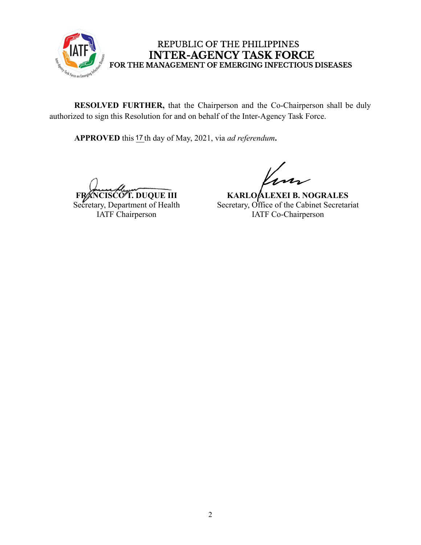

## REPUBLIC OF THE PHILIPPINES **INTER-AGENCY TASK FORCE** FOR THE MANAGEMENT OF EMERGING INFECTIOUS DISEASES

**RESOLVED FURTHER,** that the Chairperson and the Co-Chairperson shall be duly authorized to sign this Resolution for and on behalf of the Inter-Agency Task Force.

APPROVED this 17 th day of May, 2021, via *ad referendum*.

**FRANCISCO T. DUQUE III** Secretary, Department of Health IATF Chairperson

**KARLO ALEXEI B. NOGRALES** Secretary, Office of the Cabinet Secretariat IATF Co-Chairperson